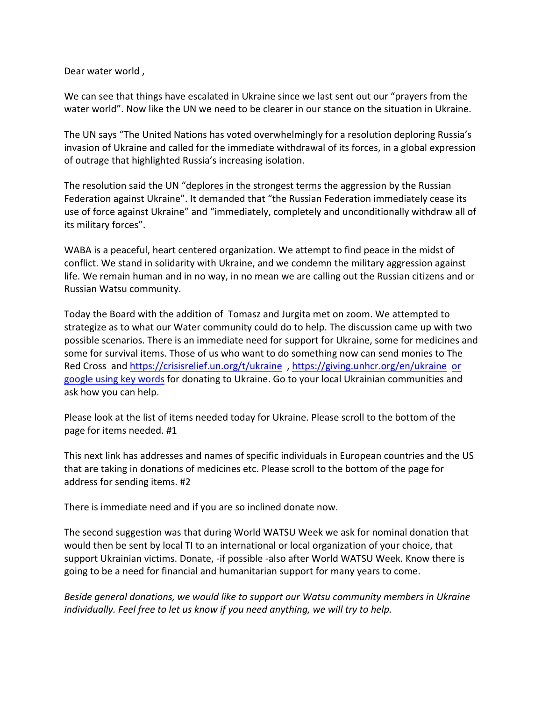Dear water world ,

We can see that things have escalated in Ukraine since we last sent out our "prayers from the water world". Now like the UN we need to be clearer in our stance on the situation in Ukraine.

The UN says "The United Nations has voted overwhelmingly for a resolution deploring Russia's invasion of Ukraine and called for the immediate withdrawal of its forces, in a global expression of outrage that highlighted Russia's increasing isolation.

The resolution said the UN "deplores in the strongest terms the aggression by the Russian Federation against Ukraine". It demanded that "the Russian Federation immediately cease its use of force against Ukraine" and "immediately, completely and unconditionally withdraw all of its military forces".

WABA is a peaceful, heart centered organization. We attempt to find peace in the midst of conflict. We stand in solidarity with Ukraine, and we condemn the military aggression against life. We remain human and in no way, in no mean we are calling out the Russian citizens and or Russian Watsu community.

Today the Board with the addition of Tomasz and Jurgita met on zoom. We attempted to strategize as to what our Water community could do to help. The discussion came up with two possible scenarios. There is an immediate need for support for Ukraine, some for medicines and some for survival items. Those of us who want to do something now can send monies to The Red Cross and https://crisisrelief.un.org/t/ukraine , https://giving.unhcr.org/en/ukraine or google using key words for donating to Ukraine. Go to your local Ukrainian communities and ask how you can help.

Please look at the list of items needed today for Ukraine. Please scroll to the bottom of the page for items needed. #1

This next link has addresses and names of specific individuals in European countries and the US that are taking in donations of medicines etc. Please scroll to the bottom of the page for address for sending items. #2

There is immediate need and if you are so inclined donate now.

The second suggestion was that during World WATSU Week we ask for nominal donation that would then be sent by local TI to an international or local organization of your choice, that support Ukrainian victims. Donate, -if possible -also after World WATSU Week. Know there is going to be a need for financial and humanitarian support for many years to come.

*Beside general donations, we would like to support our Watsu community members in Ukraine individually. Feel free to let us know if you need anything, we will try to help.*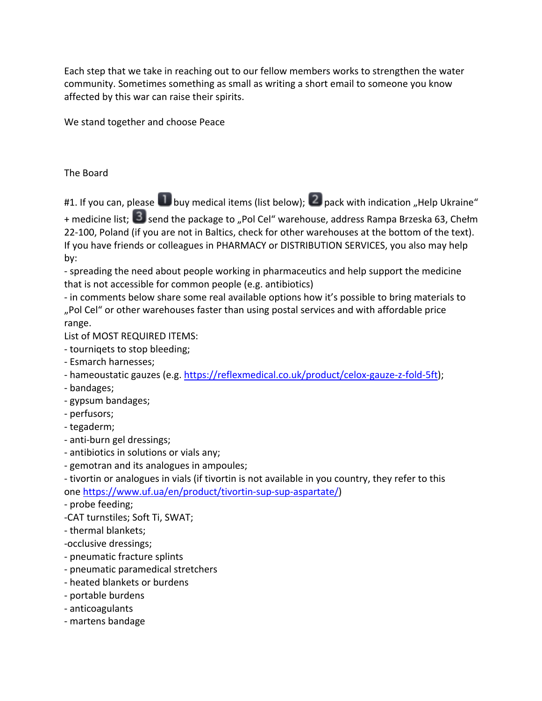Each step that we take in reaching out to our fellow members works to strengthen the water community. Sometimes something as small as writing a short email to someone you know affected by this war can raise their spirits.

We stand together and choose Peace

## The Board

#1. If you can, please **buy medical items (list below); 2** pack with indication "Help Ukraine"

+ medicine list; 3 send the package to "Pol Cel" warehouse, address Rampa Brzeska 63, Chełm 22-100, Poland (if you are not in Baltics, check for other warehouses at the bottom of the text). If you have friends or colleagues in PHARMACY or DISTRIBUTION SERVICES, you also may help by:

- spreading the need about people working in pharmaceutics and help support the medicine that is not accessible for common people (e.g. antibiotics)

- in comments below share some real available options how it's possible to bring materials to "Pol Cel" or other warehouses faster than using postal services and with affordable price range.

List of MOST REQUIRED ITEMS:

- tourniqets to stop bleeding;
- Esmarch harnesses;
- hameoustatic gauzes (e.g. https://reflexmedical.co.uk/product/celox-gauze-z-fold-5ft);
- bandages;
- gypsum bandages;
- perfusors;
- tegaderm;
- anti-burn gel dressings;
- antibiotics in solutions or vials any;
- gemotran and its analogues in ampoules;

- tivortin or analogues in vials (if tivortin is not available in you country, they refer to this one https://www.uf.ua/en/product/tivortin-sup-sup-aspartate/)

- probe feeding;
- -CAT turnstiles; Soft Ti, SWAT;
- thermal blankets;
- -occlusive dressings;
- pneumatic fracture splints
- pneumatic paramedical stretchers
- heated blankets or burdens
- portable burdens
- anticoagulants
- martens bandage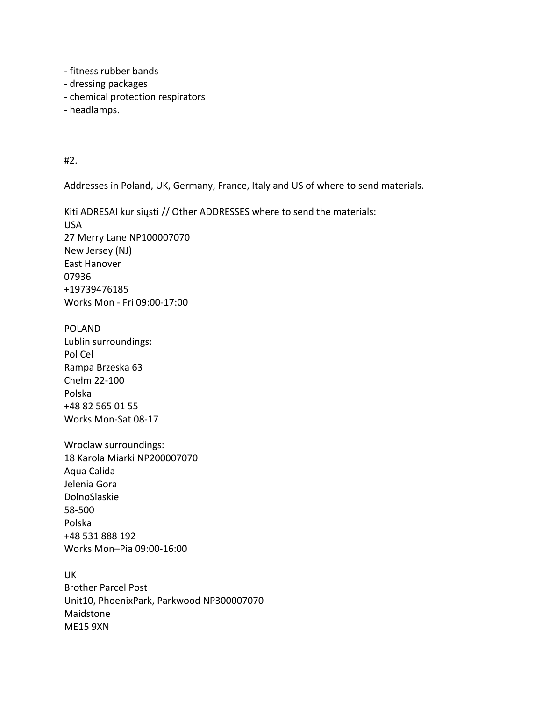- fitness rubber bands
- dressing packages
- chemical protection respirators
- headlamps.

#2.

Addresses in Poland, UK, Germany, France, Italy and US of where to send materials.

Kiti ADRESAI kur siųsti // Other ADDRESSES where to send the materials: USA 27 Merry Lane NP100007070 New Jersey (NJ) East Hanover 07936 +19739476185 Works Mon - Fri 09:00-17:00

POLAND Lublin surroundings: Pol Cel Rampa Brzeska 63 Chełm 22-100 Polska +48 82 565 01 55 Works Mon-Sat 08-17

Wroclaw surroundings: 18 Karola Miarki NP200007070 Aqua Calida Jelenia Gora DolnoSlaskie 58-500 Polska +48 531 888 192 Works Mon–Pia 09:00-16:00

UK Brother Parcel Post Unit10, PhoenixPark, Parkwood NP300007070 Maidstone ME15 9XN